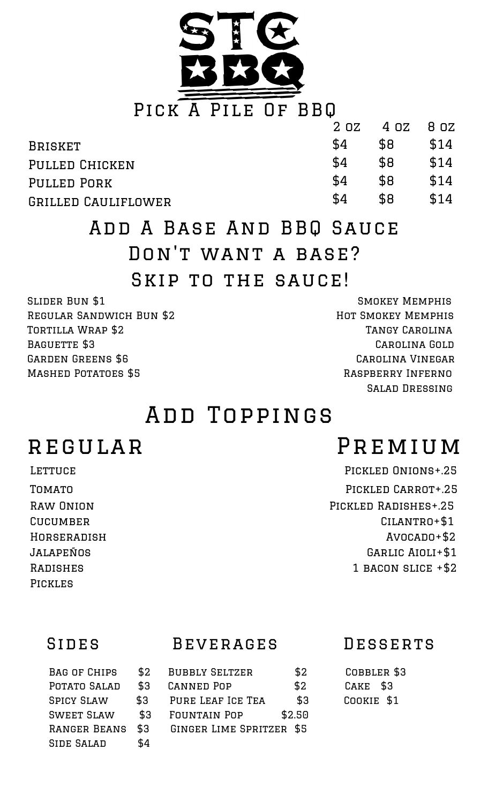

|                     | 2 OZ | 4 OZ 8 OZ |      |
|---------------------|------|-----------|------|
| <b>BRISKET</b>      | \$4  | \$8       | \$14 |
| PULLED CHICKEN      | \$4  | \$8       | \$14 |
| <b>PULLED PORK</b>  | \$4  | \$8       | \$14 |
| GRILLED CAULIFLOWER | \$4  | \$8       | \$14 |

# Add A Base And BBQ Sauce Don't want a base? SKIP TO THE SAUCE!

REGULAR SANDWICH BUN \$2 HOT SMOKEY MEMPHIS TORTILLA WRAP \$2 TANGY CAROLINA BAGUETTE \$3 CAROLINA GOLD GARDEN GREENS \$6 CAROLINA VINEGAR MASHED POTATOES \$5 RASPBERRY INFERNO

SLIDER BUN \$1 SMOKEY MEMPHIS Salad Dressing

## Add Toppings

Pickles

# regular Premium

LETTUCE PICKLED ONIONS+.25 TOMATO TOMATO RAW ONION PICKLED RADISHES+.25 CUCUMBER CUCUMBER CULANTRO+\$1 Horseradish Avocado+\$2 Jalapeños Garlic Aioli+\$1 RADISHES 1 BACON SLICE + \$2

## Sides Beverages Desserts

BAG OF CHIPS  $$2$  BUBBLY SELTZER  $$2$  COBBLER \$3 POTATO SALAD \$3 CANNED POP \$2 CAKE \$3 SPICY SLAW \$3 PURE LEAF ICE TEA \$3 COOKIE \$1 Sweet Slaw \$3 Fountain Pop \$2.50 Ranger Beans \$3 Ginger Lime Spritzer \$5 SIDE SALAD \$4